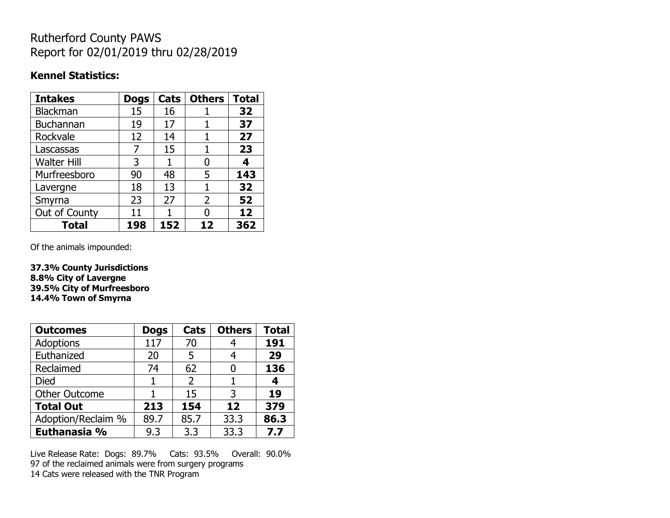# Rutherford County PAWS Report for 02/01/2019 thru 02/28/2019

#### **Kennel Statistics:**

| <b>Intakes</b>     | <b>Dogs</b> | Cats | <b>Others</b> | <b>Total</b> |
|--------------------|-------------|------|---------------|--------------|
| Blackman           | 15          | 16   |               | 32           |
| <b>Buchannan</b>   | 19          | 17   |               | 37           |
| Rockvale           | 12          | 14   |               | 27           |
| Lascassas          | 7           | 15   | 1             | 23           |
| <b>Walter Hill</b> | 3           | 1    | O             | 4            |
| Murfreesboro       | 90          | 48   | 5             | 143          |
| Lavergne           | 18          | 13   |               | 32           |
| Smyrna             | 23          | 27   | 2             | 52           |
| Out of County      | 11          |      | 0             | 12           |
| <b>Total</b>       | 198         | 152  | 12            | 362          |

Of the animals impounded:

**37.3% County Jurisdictions 8.8% City of Lavergne 39.5% City of Murfreesboro 14.4% Town of Smyrna**

| <b>Outcomes</b>      | <b>Dogs</b> | Cats           | <b>Others</b> | <b>Total</b> |
|----------------------|-------------|----------------|---------------|--------------|
| Adoptions            | 117         | 70             |               | 191          |
| Euthanized           | 20          | 5              |               | 29           |
| Reclaimed            | 74          | 62             |               | 136          |
| <b>Died</b>          | 1           | $\overline{2}$ |               | 4            |
| <b>Other Outcome</b> |             | 15             | 3             | 19           |
| <b>Total Out</b>     | 213         | 154            | 12            | 379          |
| Adoption/Reclaim %   | 89.7        | 85.7           | 33.3          | 86.3         |
| Euthanasia %         | 9.3         | 3.3            | 33.3          | 7.7          |

Live Release Rate: Dogs: 89.7% Cats: 93.5% Overall: 90.0% 97 of the reclaimed animals were from surgery programs 14 Cats were released with the TNR Program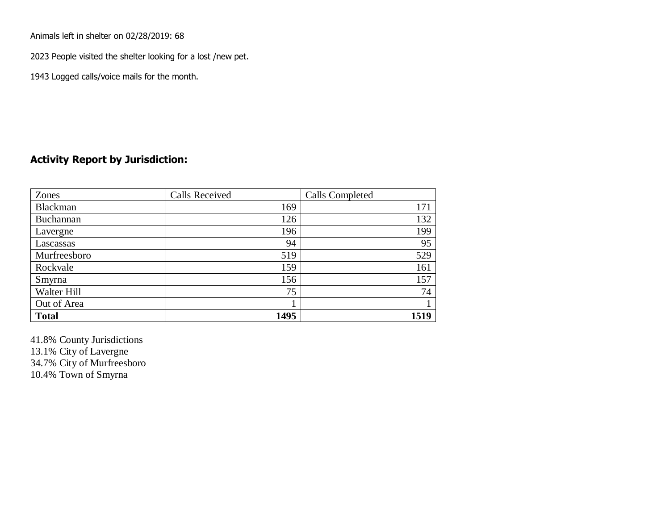Animals left in shelter on 02/28/2019: 68

2023 People visited the shelter looking for a lost /new pet.

1943 Logged calls/voice mails for the month.

## **Activity Report by Jurisdiction:**

| Zones           | <b>Calls Received</b> | Calls Completed |
|-----------------|-----------------------|-----------------|
| <b>Blackman</b> | 169                   | 171             |
| Buchannan       | 126                   | 132             |
| Lavergne        | 196                   | 199             |
| Lascassas       | 94                    | 95              |
| Murfreesboro    | 519                   | 529             |
| Rockvale        | 159                   | 161             |
| Smyrna          | 156                   | 157             |
| Walter Hill     | 75                    | 74              |
| Out of Area     |                       |                 |
| <b>Total</b>    | 1495                  | 1519            |

41.8% County Jurisdictions 13.1% City of Lavergne 34.7% City of Murfreesboro 10.4% Town of Smyrna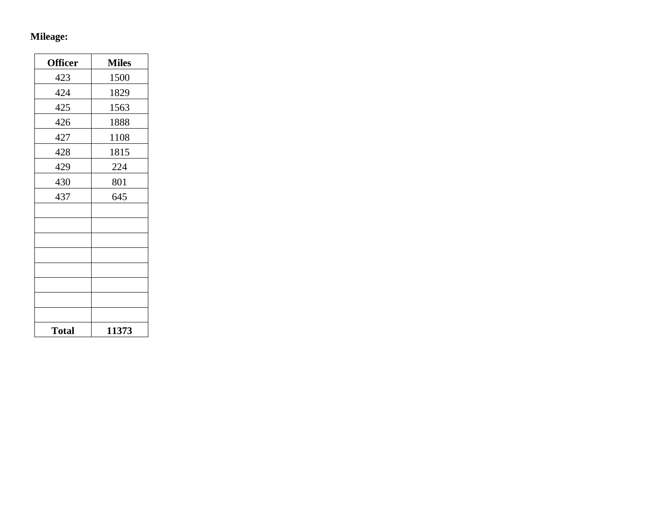### **Mileage:**

| <b>Officer</b> | <b>Miles</b> |
|----------------|--------------|
| 423            | 1500         |
| 424            | 1829         |
| 425            | 1563         |
| 426            | 1888         |
| 427            | 1108         |
| 428            | 1815         |
| 429            | 224          |
| 430            | 801          |
| 437            | 645          |
|                |              |
|                |              |
|                |              |
|                |              |
|                |              |
|                |              |
|                |              |
|                |              |
| <b>Total</b>   | 11373        |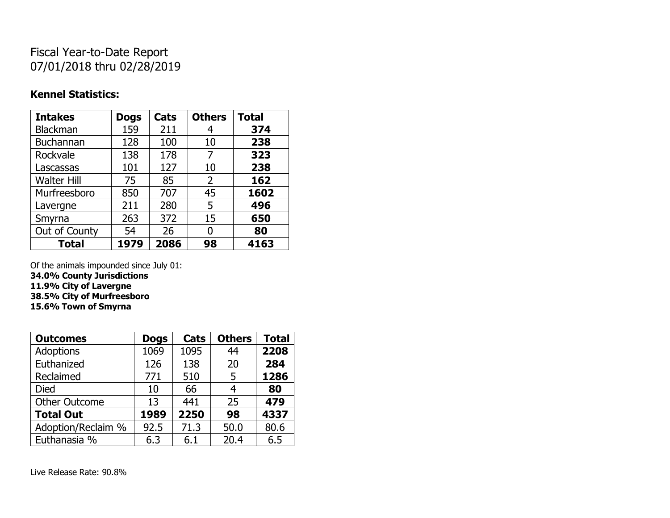# Fiscal Year-to-Date Report 07/01/2018 thru 02/28/2019

#### **Kennel Statistics:**

| <b>Intakes</b>     | <b>Dogs</b> | Cats | <b>Others</b> | <b>Total</b> |
|--------------------|-------------|------|---------------|--------------|
| <b>Blackman</b>    | 159         | 211  | 4             | 374          |
| <b>Buchannan</b>   | 128         | 100  | 10            | 238          |
| Rockvale           | 138         | 178  | 7             | 323          |
| Lascassas          | 101         | 127  | 10            | 238          |
| <b>Walter Hill</b> | 75          | 85   | 2             | 162          |
| Murfreesboro       | 850         | 707  | 45            | 1602         |
| Lavergne           | 211         | 280  | 5             | 496          |
| Smyrna             | 263         | 372  | 15            | 650          |
| Out of County      | 54          | 26   | 0             | 80           |
| <b>Total</b>       | 1979        | 2086 | 98            | 4163         |

Of the animals impounded since July 01: **34.0% County Jurisdictions 11.9% City of Lavergne 38.5% City of Murfreesboro 15.6% Town of Smyrna**

| <b>Outcomes</b>      | <b>Dogs</b> | Cats | <b>Others</b> | <b>Total</b> |
|----------------------|-------------|------|---------------|--------------|
| <b>Adoptions</b>     | 1069        | 1095 | 44            | 2208         |
| Euthanized           | 126         | 138  | 20            | 284          |
| Reclaimed            | 771         | 510  | 5             | 1286         |
| <b>Died</b>          | 10          | 66   | 4             | 80           |
| <b>Other Outcome</b> | 13          | 441  | 25            | 479          |
| <b>Total Out</b>     | 1989        | 2250 | 98            | 4337         |
| Adoption/Reclaim %   | 92.5        | 71.3 | 50.0          | 80.6         |
| Euthanasia %         | 6.3         | 6.1  | 20.4          | 6.5          |

Live Release Rate: 90.8%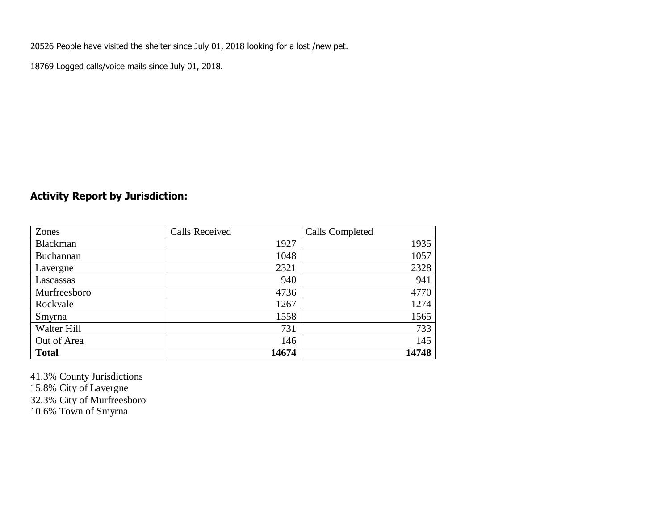20526 People have visited the shelter since July 01, 2018 looking for a lost /new pet.

18769 Logged calls/voice mails since July 01, 2018.

## **Activity Report by Jurisdiction:**

| Zones           | <b>Calls Received</b> | Calls Completed |
|-----------------|-----------------------|-----------------|
| <b>Blackman</b> | 1927                  | 1935            |
| Buchannan       | 1048                  | 1057            |
| Lavergne        | 2321                  | 2328            |
| Lascassas       | 940                   | 941             |
| Murfreesboro    | 4736                  | 4770            |
| Rockvale        | 1267                  | 1274            |
| Smyrna          | 1558                  | 1565            |
| Walter Hill     | 731                   | 733             |
| Out of Area     | 146                   | 145             |
| <b>Total</b>    | 14674                 | 14748           |

41.3% County Jurisdictions 15.8% City of Lavergne 32.3% City of Murfreesboro 10.6% Town of Smyrna